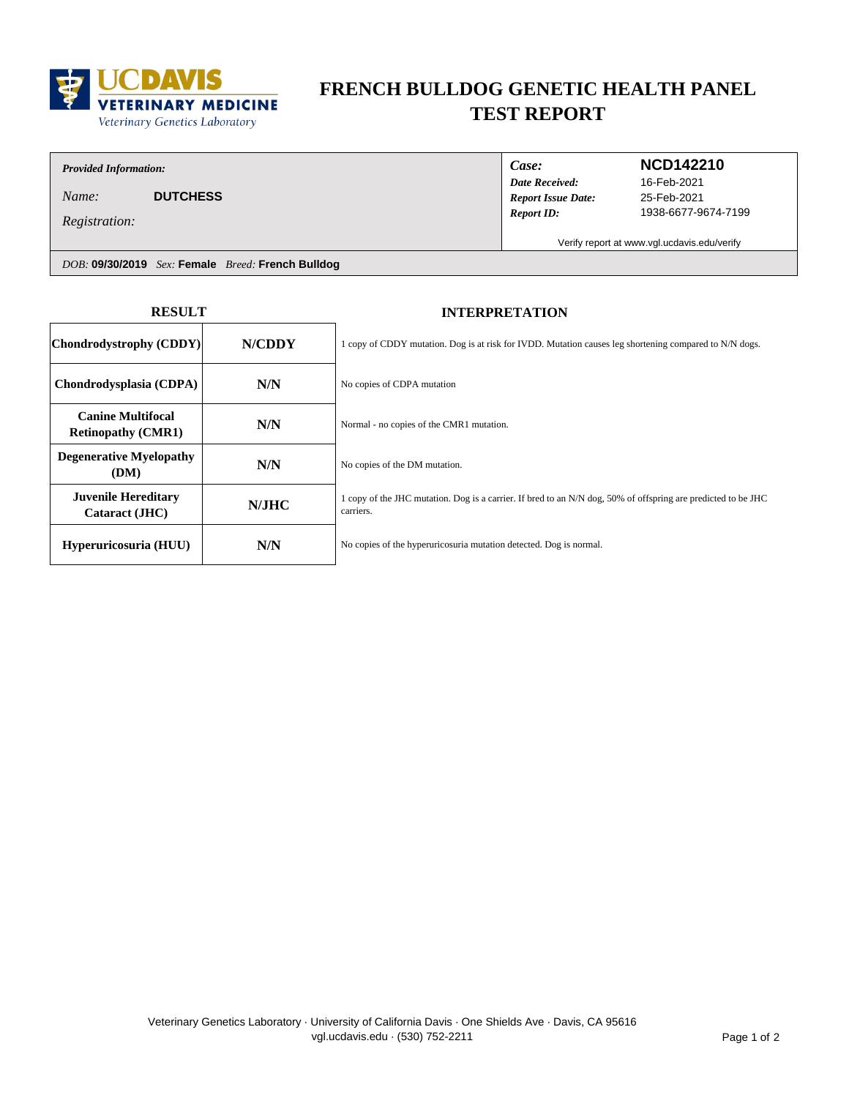

# **FRENCH BULLDOG GENETIC HEALTH PANEL TEST REPORT**

### *Provided Information:*

*Name:* **DUTCHESS**

*Registration:*

*Date Received: Case: Report Issue Date:*

*Report ID:*

### **NCD142210**

25-Feb-2021 1938-6677-9674-7199 16-Feb-2021

Verify report at www.vgl.ucdavis.edu/verify

*DOB:* **09/30/2019** *Sex:* **Female** *Breed:* **French Bulldog**

| <b>RESULT</b>                                         |        | <b>INTERPRETATION</b>                                                                                                      |
|-------------------------------------------------------|--------|----------------------------------------------------------------------------------------------------------------------------|
| Chondrodystrophy (CDDY)                               | N/CDDY | 1 copy of CDDY mutation. Dog is at risk for IVDD. Mutation causes leg shortening compared to N/N dogs.                     |
| Chondrodysplasia (CDPA)                               | N/N    | No copies of CDPA mutation                                                                                                 |
| <b>Canine Multifocal</b><br><b>Retinopathy (CMR1)</b> | N/N    | Normal - no copies of the CMR1 mutation.                                                                                   |
| <b>Degenerative Myelopathy</b><br>(DM)                | N/N    | No copies of the DM mutation.                                                                                              |
| <b>Juvenile Hereditary</b><br>Cataract (JHC)          | N/JHC  | 1 copy of the JHC mutation. Dog is a carrier. If bred to an N/N dog, 50% of offspring are predicted to be JHC<br>carriers. |
| Hyperuricosuria (HUU)                                 | N/N    | No copies of the hyperuricosuria mutation detected. Dog is normal.                                                         |